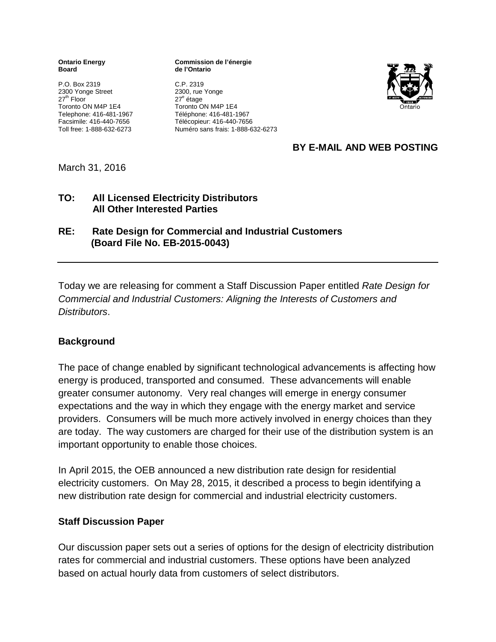**Board de l'Ontario**

P.O. Box 2319<br>
2300 Yonge Street<br>
2300, rue Yonge 2300 Yonge Street<br>27<sup>th</sup> Floor Toronto ON M4P 1E4 Telephone: 416-481-1967 Téléphone: 416-481-1967

**Ontario Energy Commission de l'énergie**

27<sup>e</sup> étage<br>Toronto ON M4P 1E4 Facsimile: 416-440-7656 Télécopieur: 416-440-7656 Toll free: 1-888-632-6273 Numéro sans frais: 1-888-632-6273



# **BY E-MAIL AND WEB POSTING**

March 31, 2016

#### **TO: All Licensed Electricity Distributors All Other Interested Parties**

## **RE: Rate Design for Commercial and Industrial Customers (Board File No. EB-2015-0043)**

Today we are releasing for comment a Staff Discussion Paper entitled *Rate Design for Commercial and Industrial Customers: Aligning the Interests of Customers and Distributors*.

## **Background**

The pace of change enabled by significant technological advancements is affecting how energy is produced, transported and consumed. These advancements will enable greater consumer autonomy. Very real changes will emerge in energy consumer expectations and the way in which they engage with the energy market and service providers. Consumers will be much more actively involved in energy choices than they are today. The way customers are charged for their use of the distribution system is an important opportunity to enable those choices.

In April 2015, the OEB announced a new distribution rate design for residential electricity customers. On May 28, 2015, it described a process to begin identifying a new distribution rate design for commercial and industrial electricity customers.

## **Staff Discussion Paper**

Our discussion paper sets out a series of options for the design of electricity distribution rates for commercial and industrial customers. These options have been analyzed based on actual hourly data from customers of select distributors.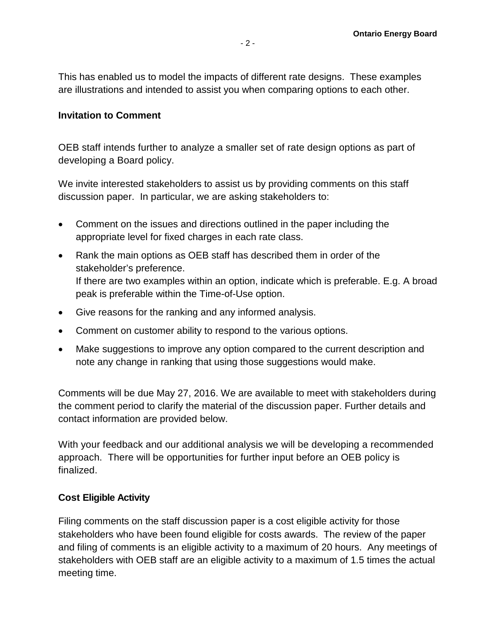This has enabled us to model the impacts of different rate designs. These examples are illustrations and intended to assist you when comparing options to each other.

#### **Invitation to Comment**

OEB staff intends further to analyze a smaller set of rate design options as part of developing a Board policy.

We invite interested stakeholders to assist us by providing comments on this staff discussion paper. In particular, we are asking stakeholders to:

- Comment on the issues and directions outlined in the paper including the appropriate level for fixed charges in each rate class.
- Rank the main options as OEB staff has described them in order of the stakeholder's preference. If there are two examples within an option, indicate which is preferable. E.g. A broad peak is preferable within the Time-of-Use option.
- Give reasons for the ranking and any informed analysis.
- Comment on customer ability to respond to the various options.
- Make suggestions to improve any option compared to the current description and note any change in ranking that using those suggestions would make.

Comments will be due May 27, 2016. We are available to meet with stakeholders during the comment period to clarify the material of the discussion paper. Further details and contact information are provided below.

With your feedback and our additional analysis we will be developing a recommended approach. There will be opportunities for further input before an OEB policy is finalized.

#### **Cost Eligible Activity**

Filing comments on the staff discussion paper is a cost eligible activity for those stakeholders who have been found eligible for costs awards. The review of the paper and filing of comments is an eligible activity to a maximum of 20 hours. Any meetings of stakeholders with OEB staff are an eligible activity to a maximum of 1.5 times the actual meeting time.